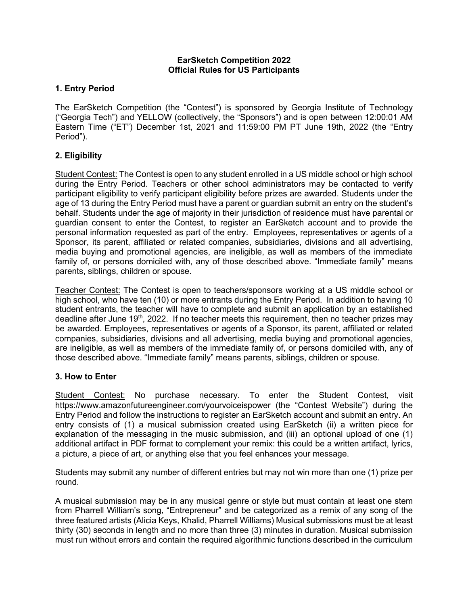### **EarSketch Competition 2022 Official Rules for US Participants**

# **1. Entry Period**

The EarSketch Competition (the "Contest") is sponsored by Georgia Institute of Technology ("Georgia Tech") and YELLOW (collectively, the "Sponsors") and is open between 12:00:01 AM Eastern Time ("ET") December 1st, 2021 and 11:59:00 PM PT June 19th, 2022 (the "Entry Period").

# **2. Eligibility**

Student Contest: The Contest is open to any student enrolled in a US middle school or high school during the Entry Period. Teachers or other school administrators may be contacted to verify participant eligibility to verify participant eligibility before prizes are awarded. Students under the age of 13 during the Entry Period must have a parent or guardian submit an entry on the student's behalf. Students under the age of majority in their jurisdiction of residence must have parental or guardian consent to enter the Contest, to register an EarSketch account and to provide the personal information requested as part of the entry. Employees, representatives or agents of a Sponsor, its parent, affiliated or related companies, subsidiaries, divisions and all advertising, media buying and promotional agencies, are ineligible, as well as members of the immediate family of, or persons domiciled with, any of those described above. "Immediate family" means parents, siblings, children or spouse.

Teacher Contest: The Contest is open to teachers/sponsors working at a US middle school or high school, who have ten (10) or more entrants during the Entry Period. In addition to having 10 student entrants, the teacher will have to complete and submit an application by an established deadline after June  $19<sup>th</sup>$ , 2022. If no teacher meets this requirement, then no teacher prizes may be awarded. Employees, representatives or agents of a Sponsor, its parent, affiliated or related companies, subsidiaries, divisions and all advertising, media buying and promotional agencies, are ineligible, as well as members of the immediate family of, or persons domiciled with, any of those described above. "Immediate family" means parents, siblings, children or spouse.

## **3. How to Enter**

Student Contest: No purchase necessary. To enter the Student Contest, visit https://www.amazonfutureengineer.com/yourvoiceispower (the "Contest Website") during the Entry Period and follow the instructions to register an EarSketch account and submit an entry. An entry consists of (1) a musical submission created using EarSketch (ii) a written piece for explanation of the messaging in the music submission, and (iii) an optional upload of one (1) additional artifact in PDF format to complement your remix: this could be a written artifact, lyrics, a picture, a piece of art, or anything else that you feel enhances your message.

Students may submit any number of different entries but may not win more than one (1) prize per round.

A musical submission may be in any musical genre or style but must contain at least one stem from Pharrell William's song, "Entrepreneur" and be categorized as a remix of any song of the three featured artists (Alicia Keys, Khalid, Pharrell Williams) Musical submissions must be at least thirty (30) seconds in length and no more than three (3) minutes in duration. Musical submission must run without errors and contain the required algorithmic functions described in the curriculum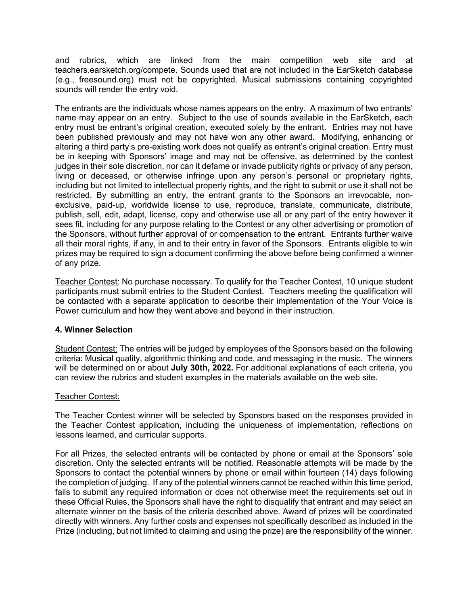and rubrics, which are linked from the main competition web site and at teachers.earsketch.org/compete. Sounds used that are not included in the EarSketch database (e.g., freesound.org) must not be copyrighted. Musical submissions containing copyrighted sounds will render the entry void.

The entrants are the individuals whose names appears on the entry. A maximum of two entrants' name may appear on an entry. Subject to the use of sounds available in the EarSketch, each entry must be entrant's original creation, executed solely by the entrant. Entries may not have been published previously and may not have won any other award. Modifying, enhancing or altering a third party's pre-existing work does not qualify as entrant's original creation. Entry must be in keeping with Sponsors' image and may not be offensive, as determined by the contest judges in their sole discretion, nor can it defame or invade publicity rights or privacy of any person, living or deceased, or otherwise infringe upon any person's personal or proprietary rights, including but not limited to intellectual property rights, and the right to submit or use it shall not be restricted. By submitting an entry, the entrant grants to the Sponsors an irrevocable, nonexclusive, paid-up, worldwide license to use, reproduce, translate, communicate, distribute, publish, sell, edit, adapt, license, copy and otherwise use all or any part of the entry however it sees fit, including for any purpose relating to the Contest or any other advertising or promotion of the Sponsors, without further approval of or compensation to the entrant. Entrants further waive all their moral rights, if any, in and to their entry in favor of the Sponsors. Entrants eligible to win prizes may be required to sign a document confirming the above before being confirmed a winner of any prize.

Teacher Contest: No purchase necessary. To qualify for the Teacher Contest, 10 unique student participants must submit entries to the Student Contest. Teachers meeting the qualification will be contacted with a separate application to describe their implementation of the Your Voice is Power curriculum and how they went above and beyond in their instruction.

## **4. Winner Selection**

Student Contest: The entries will be judged by employees of the Sponsors based on the following criteria: Musical quality, algorithmic thinking and code, and messaging in the music.The winners will be determined on or about **July 30th, 2022.** For additional explanations of each criteria, you can review the rubrics and student examples in the materials available on the web site.

#### Teacher Contest:

The Teacher Contest winner will be selected by Sponsors based on the responses provided in the Teacher Contest application, including the uniqueness of implementation, reflections on lessons learned, and curricular supports.

For all Prizes, the selected entrants will be contacted by phone or email at the Sponsors' sole discretion. Only the selected entrants will be notified. Reasonable attempts will be made by the Sponsors to contact the potential winners by phone or email within fourteen (14) days following the completion of judging. If any of the potential winners cannot be reached within this time period, fails to submit any required information or does not otherwise meet the requirements set out in these Official Rules, the Sponsors shall have the right to disqualify that entrant and may select an alternate winner on the basis of the criteria described above. Award of prizes will be coordinated directly with winners. Any further costs and expenses not specifically described as included in the Prize (including, but not limited to claiming and using the prize) are the responsibility of the winner.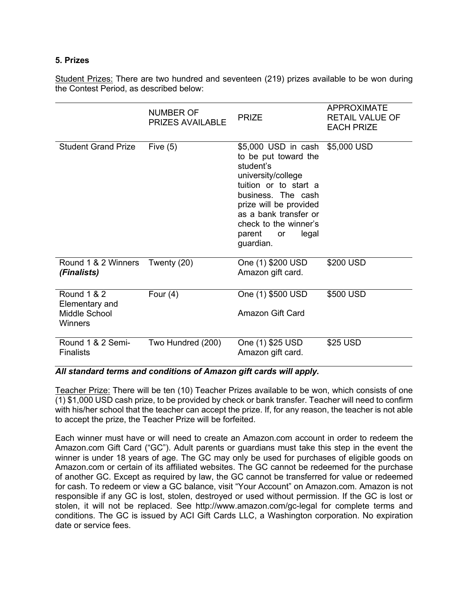### **5. Prizes**

Student Prizes: There are two hundred and seventeen (219) prizes available to be won during the Contest Period, as described below:

|                                                                      | NUMBER OF<br><b>PRIZES AVAILABLE</b> | <b>PRIZE</b>                                                                                                                                                                                                                                                       | <b>APPROXIMATE</b><br><b>RETAIL VALUE OF</b><br><b>EACH PRIZE</b> |
|----------------------------------------------------------------------|--------------------------------------|--------------------------------------------------------------------------------------------------------------------------------------------------------------------------------------------------------------------------------------------------------------------|-------------------------------------------------------------------|
| <b>Student Grand Prize</b>                                           | Five $(5)$                           | \$5,000 USD in cash \$5,000 USD<br>to be put toward the<br>student's<br>university/college<br>tuition or to start a<br>business. The cash<br>prize will be provided<br>as a bank transfer or<br>check to the winner's<br>parent<br>legal<br><b>or</b><br>guardian. |                                                                   |
| Round 1 & 2 Winners<br>(Finalists)                                   | Twenty (20)                          | One (1) \$200 USD<br>Amazon gift card.                                                                                                                                                                                                                             | \$200 USD                                                         |
| <b>Round 1 &amp; 2</b><br>Elementary and<br>Middle School<br>Winners | Four $(4)$                           | One (1) \$500 USD<br>Amazon Gift Card                                                                                                                                                                                                                              | \$500 USD                                                         |
| Round 1 & 2 Semi-<br><b>Finalists</b>                                | Two Hundred (200)                    | One (1) \$25 USD<br>Amazon gift card.                                                                                                                                                                                                                              | \$25 USD                                                          |

### *All standard terms and conditions of Amazon gift cards will apply.*

Teacher Prize: There will be ten (10) Teacher Prizes available to be won, which consists of one (1) \$1,000 USD cash prize, to be provided by check or bank transfer. Teacher will need to confirm with his/her school that the teacher can accept the prize. If, for any reason, the teacher is not able to accept the prize, the Teacher Prize will be forfeited.

Each winner must have or will need to create an Amazon.com account in order to redeem the Amazon.com Gift Card ("GC"). Adult parents or guardians must take this step in the event the winner is under 18 years of age. The GC may only be used for purchases of eligible goods on Amazon.com or certain of its affiliated websites. The GC cannot be redeemed for the purchase of another GC. Except as required by law, the GC cannot be transferred for value or redeemed for cash. To redeem or view a GC balance, visit "Your Account" on Amazon.com. Amazon is not responsible if any GC is lost, stolen, destroyed or used without permission. If the GC is lost or stolen, it will not be replaced. See http://www.amazon.com/gc-legal for complete terms and conditions. The GC is issued by ACI Gift Cards LLC, a Washington corporation. No expiration date or service fees.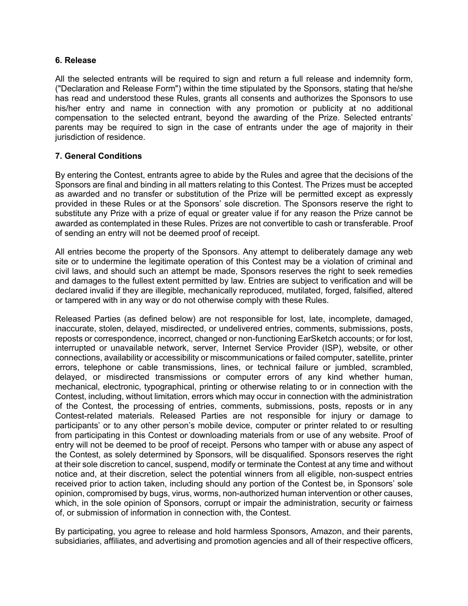#### **6. Release**

All the selected entrants will be required to sign and return a full release and indemnity form, ("Declaration and Release Form") within the time stipulated by the Sponsors, stating that he/she has read and understood these Rules, grants all consents and authorizes the Sponsors to use his/her entry and name in connection with any promotion or publicity at no additional compensation to the selected entrant, beyond the awarding of the Prize. Selected entrants' parents may be required to sign in the case of entrants under the age of majority in their jurisdiction of residence.

## **7. General Conditions**

By entering the Contest, entrants agree to abide by the Rules and agree that the decisions of the Sponsors are final and binding in all matters relating to this Contest. The Prizes must be accepted as awarded and no transfer or substitution of the Prize will be permitted except as expressly provided in these Rules or at the Sponsors' sole discretion. The Sponsors reserve the right to substitute any Prize with a prize of equal or greater value if for any reason the Prize cannot be awarded as contemplated in these Rules. Prizes are not convertible to cash or transferable. Proof of sending an entry will not be deemed proof of receipt.

All entries become the property of the Sponsors. Any attempt to deliberately damage any web site or to undermine the legitimate operation of this Contest may be a violation of criminal and civil laws, and should such an attempt be made, Sponsors reserves the right to seek remedies and damages to the fullest extent permitted by law. Entries are subject to verification and will be declared invalid if they are illegible, mechanically reproduced, mutilated, forged, falsified, altered or tampered with in any way or do not otherwise comply with these Rules.

Released Parties (as defined below) are not responsible for lost, late, incomplete, damaged, inaccurate, stolen, delayed, misdirected, or undelivered entries, comments, submissions, posts, reposts or correspondence, incorrect, changed or non-functioning EarSketch accounts; or for lost, interrupted or unavailable network, server, Internet Service Provider (ISP), website, or other connections, availability or accessibility or miscommunications or failed computer, satellite, printer errors, telephone or cable transmissions, lines, or technical failure or jumbled, scrambled, delayed, or misdirected transmissions or computer errors of any kind whether human, mechanical, electronic, typographical, printing or otherwise relating to or in connection with the Contest, including, without limitation, errors which may occur in connection with the administration of the Contest, the processing of entries, comments, submissions, posts, reposts or in any Contest-related materials. Released Parties are not responsible for injury or damage to participants' or to any other person's mobile device, computer or printer related to or resulting from participating in this Contest or downloading materials from or use of any website. Proof of entry will not be deemed to be proof of receipt. Persons who tamper with or abuse any aspect of the Contest, as solely determined by Sponsors, will be disqualified. Sponsors reserves the right at their sole discretion to cancel, suspend, modify or terminate the Contest at any time and without notice and, at their discretion, select the potential winners from all eligible, non-suspect entries received prior to action taken, including should any portion of the Contest be, in Sponsors' sole opinion, compromised by bugs, virus, worms, non-authorized human intervention or other causes, which, in the sole opinion of Sponsors, corrupt or impair the administration, security or fairness of, or submission of information in connection with, the Contest.

By participating, you agree to release and hold harmless Sponsors, Amazon, and their parents, subsidiaries, affiliates, and advertising and promotion agencies and all of their respective officers,